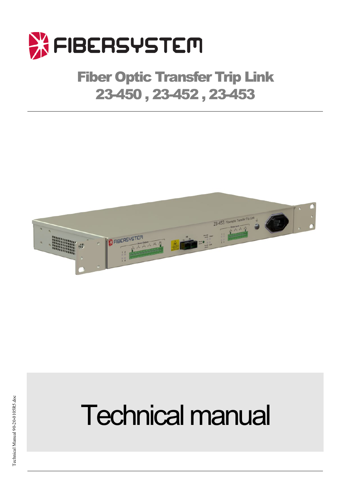

# Fiber Optic Transfer Trip Link 23-450 , 23-452 , 23-453



# **Technical manual**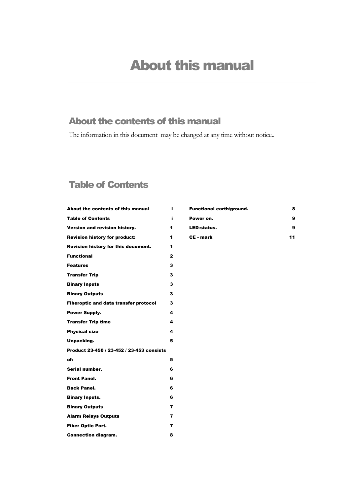## About the contents of this manual

The information in this document may be changed at any time without notice..

## Table of Contents

| About the contents of this manual            | i              |
|----------------------------------------------|----------------|
| <b>Table of Contents</b>                     | i              |
| Version and revision history.                | 1              |
| <b>Revision history for product:</b>         | 1              |
| Revision history for this document.          | 1              |
| <b>Functional</b>                            | $\overline{2}$ |
| <b>Features</b>                              | 3              |
| <b>Transfer Trip</b>                         | 3              |
| <b>Binary Inputs</b>                         | 3              |
| <b>Binary Outputs</b>                        | 3              |
| <b>Fiberoptic and data transfer protocol</b> | 3              |
| <b>Power Supply.</b>                         | 4              |
| <b>Transfer Trip time</b>                    | 4              |
| <b>Physical size</b>                         | 4              |
| Unpacking.                                   | 5              |
| Product 23-450 / 23-452 / 23-453 consists    |                |
| of:                                          | 5              |
| Serial number.                               | 6              |
| <b>Front Panel.</b>                          | 6              |
| <b>Back Panel.</b>                           | 6              |
| <b>Binary Inputs.</b>                        | 6              |
| <b>Binary Outputs</b>                        | 7              |
| <b>Alarm Relays Outputs</b>                  | 7              |
| <b>Fiber Optic Port.</b>                     | 7              |
| <b>Connection diagram.</b>                   | 8              |

| <b>Functional earth/ground.</b> | 8  |
|---------------------------------|----|
| Power on.                       | 9  |
| <b>LED-status.</b>              | 9  |
| CE - mark                       | 11 |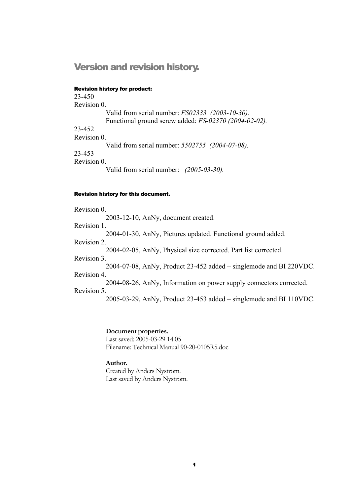### Version and revision history.

#### Revision history for product:

23-450 Revision 0. Valid from serial number: *FS02333 (2003-10-30).*  Functional ground screw added: *FS-02370 (2004-02-02).*  23-452 Revision 0. Valid from serial number: *5502755 (2004-07-08).*  23-453 Revision 0. Valid from serial number: *(2005-03-30).* 

#### Revision history for this document.

Revision 0. 2003-12-10, AnNy, document created. Revision 1. 2004-01-30, AnNy, Pictures updated. Functional ground added. Revision 2. 2004-02-05, AnNy, Physical size corrected. Part list corrected. Revision 3. 2004-07-08, AnNy, Product 23-452 added – singlemode and BI 220VDC. Revision 4. 2004-08-26, AnNy, Information on power supply connectors corrected. Revision 5. 2005-03-29, AnNy, Product 23-453 added – singlemode and BI 110VDC.

> **Document properties.**  Last saved: 2005-03-29 14:05 Filename: Technical Manual 90-20-0105R5.doc

#### **Author.**

Created by Anders Nyström. Last saved by Anders Nyström.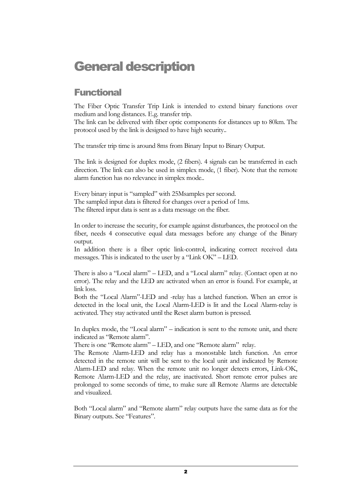# General description

## **Functional**

The Fiber Optic Transfer Trip Link is intended to extend binary functions over medium and long distances. E.g. transfer trip.

The link can be delivered with fiber optic components for distances up to 80km. The protocol used by the link is designed to have high security..

The transfer trip time is around 8ms from Binary Input to Binary Output.

The link is designed for duplex mode, (2 fibers). 4 signals can be transferred in each direction. The link can also be used in simplex mode, (1 fiber). Note that the remote alarm function has no relevance in simplex mode..

Every binary input is "sampled" with 25Msamples per second. The sampled input data is filtered for changes over a period of 1ms. The filtered input data is sent as a data message on the fiber.

In order to increase the security, for example against disturbances, the protocol on the fiber, needs 4 consecutive equal data messages before any change of the Binary output.

In addition there is a fiber optic link-control, indicating correct received data messages. This is indicated to the user by a "Link OK" – LED.

There is also a "Local alarm" – LED, and a "Local alarm" relay. (Contact open at no error). The relay and the LED are activated when an error is found. For example, at link loss.

Both the "Local Alarm"-LED and -relay has a latched function. When an error is detected in the local unit, the Local Alarm-LED is lit and the Local Alarm-relay is activated. They stay activated until the Reset alarm button is pressed.

In duplex mode, the "Local alarm" – indication is sent to the remote unit, and there indicated as "Remote alarm".

There is one "Remote alarm" – LED, and one "Remote alarm" relay.

The Remote Alarm-LED and relay has a monostable latch function. An error detected in the remote unit will be sent to the local unit and indicated by Remote Alarm-LED and relay. When the remote unit no longer detects errors, Link-OK, Remote Alarm-LED and the relay, are inactivated. Short remote error pulses are prolonged to some seconds of time, to make sure all Remote Alarms are detectable and visualized.

Both "Local alarm" and "Remote alarm" relay outputs have the same data as for the Binary outputs. See "Features".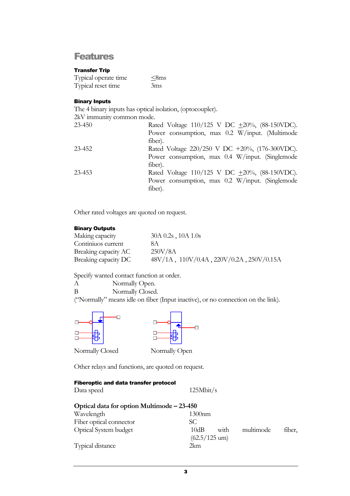#### Features

#### Transfer Trip

| Typical operate time | $<8$ ms |
|----------------------|---------|
| Typical reset time   | 3ms     |

#### Binary Inputs

The 4 binary inputs has optical isolation, (optocoupler).

| 2kV immunity common mode. |                                                        |
|---------------------------|--------------------------------------------------------|
| $23 - 450$                | Rated Voltage $110/125$ V DC $\pm 20\%$ , (88-150VDC). |
|                           | Power consumption, max 0.2 W/input. (Multimode         |
|                           | fiber).                                                |
| 23-452                    | Rated Voltage 220/250 V DC +20%, (176-300VDC).         |
|                           | Power consumption, max 0.4 W/input. (Singlemode        |
|                           | fiber).                                                |
| 23-453                    | Rated Voltage $110/125$ V DC $\pm 20\%$ , (88-150VDC). |
|                           | Power consumption, max 0.2 W/input. (Singlemode        |
|                           | fiber).                                                |
|                           |                                                        |

Other rated voltages are quoted on request.

#### Binary Outputs

| Making capacity      | $30A\,0.2s$ , $10A\,1.0s$                |
|----------------------|------------------------------------------|
| Continuos current    | 8A                                       |
| Breaking capacity AC | 250V/8A                                  |
| Breaking capacity DC | 48V/1A, 110V/0.4A, 220V/0.2A, 250V/0.15A |

Specify wanted contact function at order.

A Normally Open. B Normally Closed. ("Normally" means idle on fiber (Input inactive), or no connection on the link).



Other relays and functions, are quoted on request.

#### Fiberoptic and data transfer protocol

Data speed 125Mbit/s

| Optical data for option Multimode – 23-450 |                                     |  |
|--------------------------------------------|-------------------------------------|--|
| Wavelength                                 | $1300$ nm                           |  |
| Fiber optical connector                    | SC.                                 |  |
| <b>Optical System budget</b>               | 10dB<br>multimode<br>with<br>fiber, |  |
|                                            | $(62.5/125 \text{ um})$             |  |
| Typical distance                           | 2km                                 |  |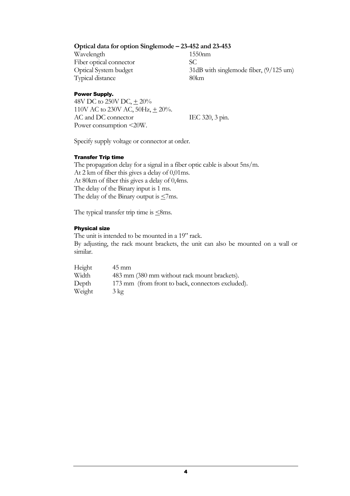#### **Optical data for option Singlemode – 23-452 and 23-453**

Wavelength 1550nm Fiber optical connector SC Typical distance 80km

Optical System budget 31dB with singlemode fiber, (9/125 um)

#### Power Supply.

48V DC to 250V DC,  $\pm 20\%$ 110V AC to 230V AC, 50Hz,  $\pm$  20%. AC and DC connector IEC 320, 3 pin. Power consumption <20W.

Specify supply voltage or connector at order.

#### Transfer Trip time

The propagation delay for a signal in a fiber optic cable is about 5ns/m. At 2 km of fiber this gives a delay of 0,01ms. At 80km of fiber this gives a delay of 0,4ms. The delay of the Binary input is 1 ms. The delay of the Binary output is  $\leq$ 7ms.

The typical transfer trip time is  $\leq$ 8ms.

#### Physical size

The unit is intended to be mounted in a 19" rack. By adjusting, the rack mount brackets, the unit can also be mounted on a wall or similar.

| Height | $45 \text{ mm}$                                   |
|--------|---------------------------------------------------|
| Width  | 483 mm (380 mm without rack mount brackets).      |
| Depth  | 173 mm (from front to back, connectors excluded). |
| Weight | $3 \text{ kg}$                                    |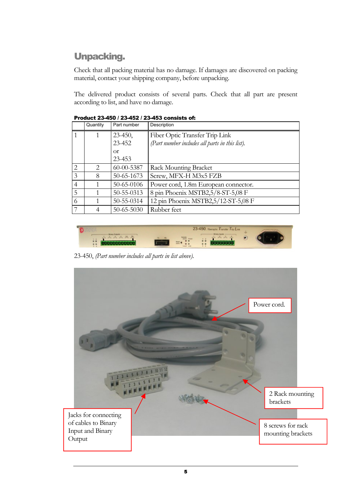## Unpacking.

Check that all packing material has no damage. If damages are discovered on packing material, contact your shipping company, before unpacking.

The delivered product consists of several parts. Check that all part are present according to list, and have no damage.

|                             | Quantity                    | Part number      | Description                                    |
|-----------------------------|-----------------------------|------------------|------------------------------------------------|
|                             |                             | $23 - 450$ ,     | Fiber Optic Transfer Trip Link                 |
|                             |                             | 23-452           | (Part number includes all parts in this list). |
|                             |                             | $\alpha$         |                                                |
|                             |                             | 23-453           |                                                |
| $\mathcal{D}_{\mathcal{A}}$ | $\mathcal{D}_{\mathcal{L}}$ | 60-00-5387       | Rack Mounting Bracket                          |
| 3                           | 8                           | 50-65-1673       | Screw, MFX-H M3x5 FZB                          |
| $\overline{4}$              |                             | 50-65-0106       | Power cord, 1.8m European connector.           |
| 5                           |                             | 50-55-0313       | 8 pin Phoenix MSTB2,5/8-ST-5,08 F              |
| 6                           |                             | 50-55-0314       | 12 pin Phoenix MSTB2,5/12-ST-5,08 F            |
| 7                           |                             | $50 - 65 - 5030$ | Rubber feet                                    |

Product 23-450 / 23-452 / 23-453 consists of:



23-450, *(Part number includes all parts in list above)*.

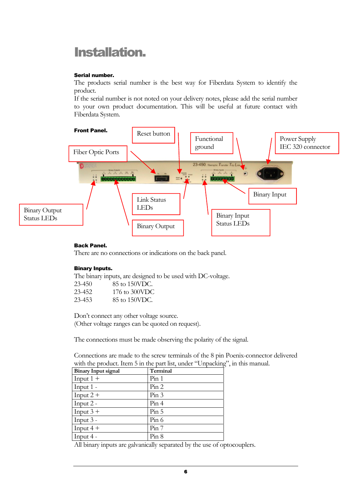# Installation.

#### Serial number.

The products serial number is the best way for Fiberdata System to identify the product.

If the serial number is not noted on your delivery notes, please add the serial number to your own product documentation. This will be useful at future contact with Fiberdata System.



#### Back Panel.

There are no connections or indications on the back panel.

#### Binary Inputs.

The binary inputs, are designed to be used with DC-voltage.

| 23-450 | 85 to 150VDC. |
|--------|---------------|
| 23-452 | 176 to 300VDC |
| 23-453 | 85 to 150VDC. |

Don't connect any other voltage source. (Other voltage ranges can be quoted on request).

The connections must be made observing the polarity of the signal.

Connections are made to the screw terminals of the 8 pin Poenix-connector delivered with the product. Item 5 in the part list, under "Unpacking", in this manual.

| <b>Binary Input signal</b> | Terminal |
|----------------------------|----------|
| Input $1 +$                | Pin 1    |
| Input $1 -$                | Pin 2    |
| Input $2 +$                | Pin 3    |
| Input $2 -$                | Pin 4    |
| Input $3 +$                | Pin 5    |
| Input $3 -$                | Pin 6    |
| Input $4 +$                | Pin 7    |
| Input $4 -$                | Pin 8    |

All binary inputs are galvanically separated by the use of optocouplers.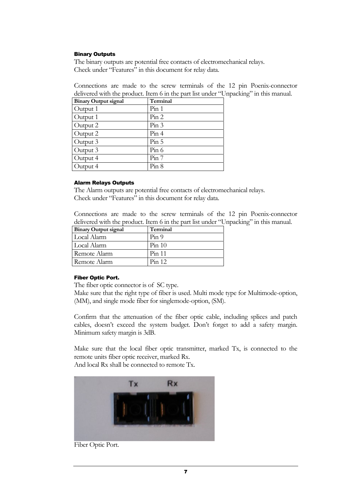#### Binary Outputs

The binary outputs are potential free contacts of electromechanical relays. Check under "Features" in this document for relay data.

Connections are made to the screw terminals of the 12 pin Poenix-connector delivered with the product. Item 6 in the part list under "Unpacking" in this manual.

| <b>Binary Output signal</b> | Terminal |
|-----------------------------|----------|
| Output 1                    | Pin 1    |
| Output 1                    | Pin 2    |
| Output 2                    | Pin 3    |
| Output 2                    | Pin 4    |
| Output 3                    | Pin 5    |
| Output 3                    | Pin 6    |
| Output 4                    | Pin 7    |
| Output 4                    | Pin 8    |

#### Alarm Relays Outputs

The Alarm outputs are potential free contacts of electromechanical relays. Check under "Features" in this document for relay data.

Connections are made to the screw terminals of the 12 pin Poenix-connector delivered with the product. Item 6 in the part list under "Unpacking" in this manual.

| <b>Binary Output signal</b> | Terminal |
|-----------------------------|----------|
| Local Alarm                 | Pin 9    |
| Local Alarm                 | Pin 10   |
| Remote Alarm                | Pin 11   |
| Remote Alarm                | Pin 12   |

#### Fiber Optic Port.

The fiber optic connector is of SC type.

Make sure that the right type of fiber is used. Multi mode type for Multimode-option, (MM), and single mode fiber for singlemode-option, (SM).

Confirm that the attenuation of the fiber optic cable, including splices and patch cables, doesn't exceed the system budget. Don't forget to add a safety margin. Minimum safety margin is 3dB.

Make sure that the local fiber optic transmitter, marked Tx, is connected to the remote units fiber optic receiver, marked Rx.

And local Rx shall be connected to remote Tx.



Fiber Optic Port.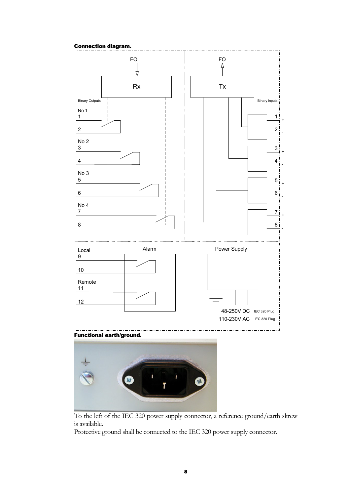#### Connection diagram.





To the left of the IEC 320 power supply connector, a reference ground/earth skrew is available.

Protective ground shall be connected to the IEC 320 power supply connector.

8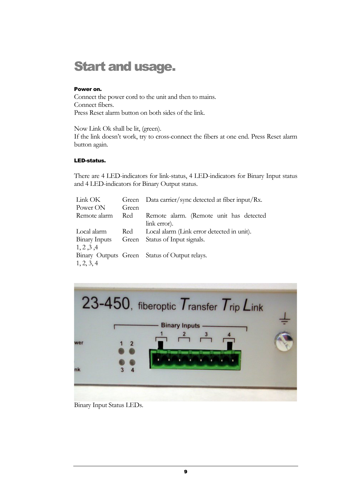# Start and usage.

#### Power on.

Connect the power cord to the unit and then to mains. Connect fibers. Press Reset alarm button on both sides of the link.

Now Link Ok shall be lit, (green). If the link doesn't work, try to cross-connect the fibers at one end. Press Reset alarm button again.

#### LED-status.

There are 4 LED-indicators for link-status, 4 LED-indicators for Binary Input status and 4 LED-indicators for Binary Output status.

| Link OK       | Green | Data carrier/sync detected at fiber input/Rx. |
|---------------|-------|-----------------------------------------------|
| Power ON      | Green |                                               |
| Remote alarm  | Red   | Remote alarm. (Remote unit has detected       |
|               |       | link error).                                  |
| Local alarm   | Red   | Local alarm (Link error detected in unit).    |
| Binary Inputs | Green | Status of Input signals.                      |
| 1, 2, 3, 4    |       |                                               |
|               |       | Binary Outputs Green Status of Output relays. |
| 1, 2, 3, 4    |       |                                               |



Binary Input Status LEDs.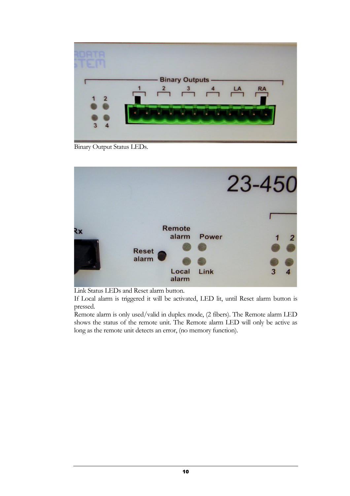

Binary Output Status LEDs.



Link Status LEDs and Reset alarm button.

If Local alarm is triggered it will be activated, LED lit, until Reset alarm button is pressed.

Remote alarm is only used/valid in duplex mode, (2 fibers). The Remote alarm LED shows the status of the remote unit. The Remote alarm LED will only be active as long as the remote unit detects an error, (no memory function).